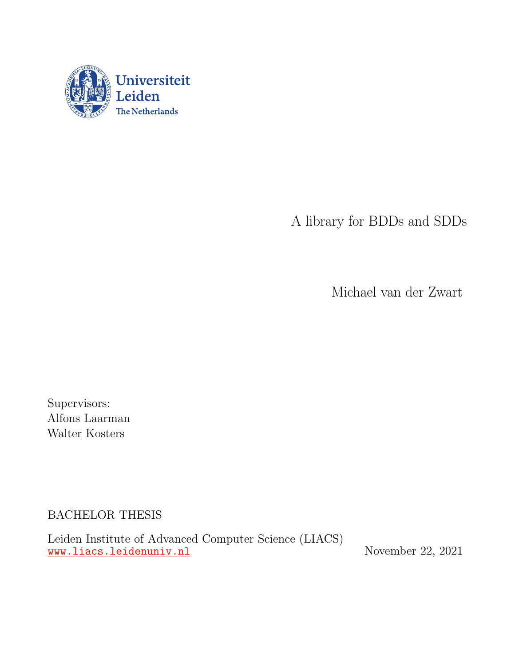

A library for BDDs and SDDs

Michael van der Zwart

Supervisors: Alfons Laarman Walter Kosters

BACHELOR THESIS

Leiden Institute of Advanced Computer Science (LIACS) <www.liacs.leidenuniv.nl> November 22, 2021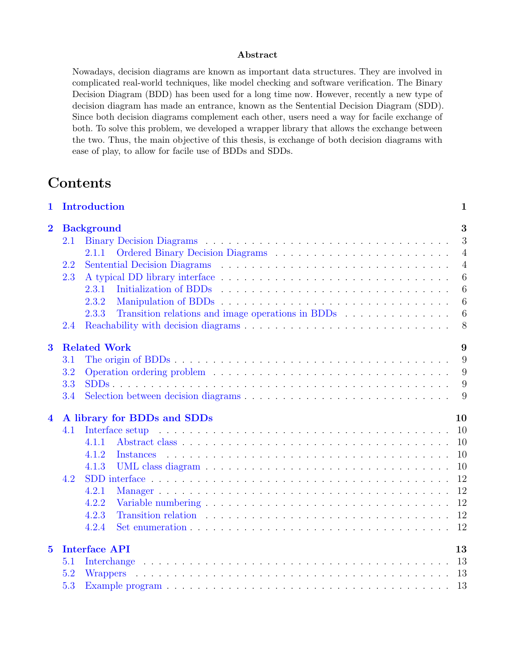#### Abstract

Nowadays, decision diagrams are known as important data structures. They are involved in complicated real-world techniques, like model checking and software verification. The Binary Decision Diagram (BDD) has been used for a long time now. However, recently a new type of decision diagram has made an entrance, known as the Sentential Decision Diagram (SDD). Since both decision diagrams complement each other, users need a way for facile exchange of both. To solve this problem, we developed a wrapper library that allows the exchange between the two. Thus, the main objective of this thesis, is exchange of both decision diagrams with ease of play, to allow for facile use of BDDs and SDDs.

## Contents

| Introduction<br>1       |                            |                                                                                                                                                                                                                                |                |  |  |  |  |  |
|-------------------------|----------------------------|--------------------------------------------------------------------------------------------------------------------------------------------------------------------------------------------------------------------------------|----------------|--|--|--|--|--|
| $\overline{2}$          | <b>Background</b>          |                                                                                                                                                                                                                                |                |  |  |  |  |  |
|                         | 2.1                        |                                                                                                                                                                                                                                | 3              |  |  |  |  |  |
|                         |                            | 2.1.1                                                                                                                                                                                                                          | $\overline{4}$ |  |  |  |  |  |
|                         | 2.2                        |                                                                                                                                                                                                                                | $\overline{4}$ |  |  |  |  |  |
|                         | 2.3                        |                                                                                                                                                                                                                                | 6              |  |  |  |  |  |
|                         |                            | 2.3.1                                                                                                                                                                                                                          | 6              |  |  |  |  |  |
|                         |                            | 2.3.2                                                                                                                                                                                                                          | 6              |  |  |  |  |  |
|                         |                            | 2.3.3                                                                                                                                                                                                                          | $\overline{6}$ |  |  |  |  |  |
|                         | 2.4                        |                                                                                                                                                                                                                                | 8              |  |  |  |  |  |
| $\bf{3}$                | <b>Related Work</b><br>9   |                                                                                                                                                                                                                                |                |  |  |  |  |  |
|                         | 3.1                        |                                                                                                                                                                                                                                | 9              |  |  |  |  |  |
|                         | 3.2                        |                                                                                                                                                                                                                                | 9              |  |  |  |  |  |
|                         | 3.3                        |                                                                                                                                                                                                                                | 9              |  |  |  |  |  |
|                         | 3.4                        |                                                                                                                                                                                                                                | - 9            |  |  |  |  |  |
| $\overline{\mathbf{4}}$ |                            | A library for BDDs and SDDs<br>10                                                                                                                                                                                              |                |  |  |  |  |  |
|                         | 4.1                        | Interface setup and a setup of the setup of the setup of the setup of the setup of the setup of the setup of the setup of the setup of the setup of the setup of the setup of the setup of the setup of the setup of the setup | <sup>10</sup>  |  |  |  |  |  |
|                         |                            | 4.1.1                                                                                                                                                                                                                          | <sup>10</sup>  |  |  |  |  |  |
|                         |                            | 4.1.2<br>Instances                                                                                                                                                                                                             | 10             |  |  |  |  |  |
|                         |                            | 4.1.3                                                                                                                                                                                                                          | 10             |  |  |  |  |  |
|                         | 4.2                        |                                                                                                                                                                                                                                | 12             |  |  |  |  |  |
|                         |                            | 4.2.1                                                                                                                                                                                                                          | 12             |  |  |  |  |  |
|                         |                            | 4.2.2                                                                                                                                                                                                                          | 12             |  |  |  |  |  |
|                         |                            | 4.2.3                                                                                                                                                                                                                          | 12             |  |  |  |  |  |
|                         |                            | 4.2.4                                                                                                                                                                                                                          | 12             |  |  |  |  |  |
| $\overline{5}$          | <b>Interface API</b><br>13 |                                                                                                                                                                                                                                |                |  |  |  |  |  |
|                         | 5.1                        | .<br>The second complete state of the second complete state of the second complete state of the second complete sta<br>Interchange                                                                                             | 13             |  |  |  |  |  |
|                         | 5.2                        |                                                                                                                                                                                                                                |                |  |  |  |  |  |
|                         | 5.3                        |                                                                                                                                                                                                                                |                |  |  |  |  |  |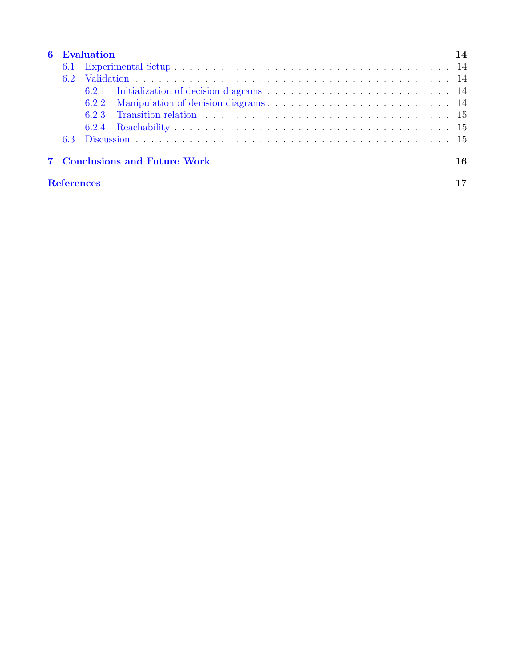|                   | <b>6</b> Evaluation                  |       |                                                                                                                                                                                                                                |  |  |  |  |
|-------------------|--------------------------------------|-------|--------------------------------------------------------------------------------------------------------------------------------------------------------------------------------------------------------------------------------|--|--|--|--|
|                   | 6.1                                  |       |                                                                                                                                                                                                                                |  |  |  |  |
|                   | 62                                   |       | Validation expansion in the contract of the contract of the contract of the contract of the contract of the contract of the contract of the contract of the contract of the contract of the contract of the contract of the co |  |  |  |  |
|                   |                                      |       |                                                                                                                                                                                                                                |  |  |  |  |
|                   |                                      | 6.2.2 |                                                                                                                                                                                                                                |  |  |  |  |
|                   |                                      |       |                                                                                                                                                                                                                                |  |  |  |  |
|                   |                                      | 6.2.4 |                                                                                                                                                                                                                                |  |  |  |  |
|                   | 6.3                                  |       |                                                                                                                                                                                                                                |  |  |  |  |
|                   | 7 Conclusions and Future Work<br>16. |       |                                                                                                                                                                                                                                |  |  |  |  |
| <b>References</b> |                                      |       |                                                                                                                                                                                                                                |  |  |  |  |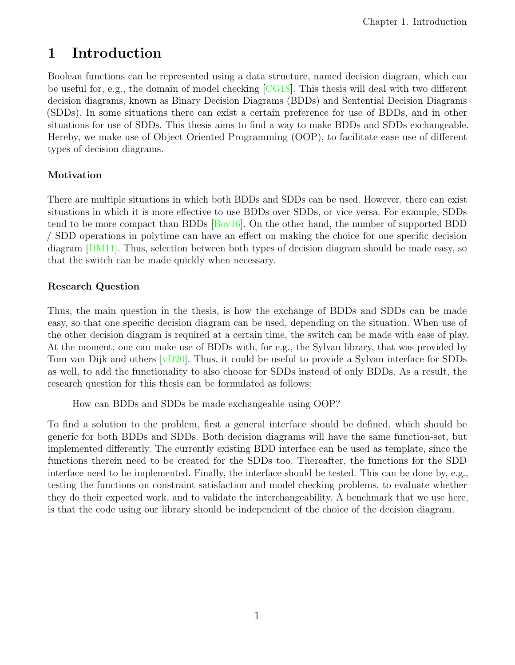# <span id="page-3-0"></span>1 Introduction

Boolean functions can be represented using a data structure, named decision diagram, which can be useful for, e.g., the domain of model checking [\[CG18\]](#page-19-1). This thesis will deal with two different decision diagrams, known as Binary Decision Diagrams (BDDs) and Sentential Decision Diagrams (SDDs). In some situations there can exist a certain preference for use of BDDs, and in other situations for use of SDDs. This thesis aims to find a way to make BDDs and SDDs exchangeable. Hereby, we make use of Object Oriented Programming (OOP), to facilitate ease use of different types of decision diagrams.

### Motivation

There are multiple situations in which both BDDs and SDDs can be used. However, there can exist situations in which it is more effective to use BDDs over SDDs, or vice versa. For example, SDDs tend to be more compact than BDDs [\[Bov16\]](#page-19-2). On the other hand, the number of supported BDD / SDD operations in polytime can have an effect on making the choice for one specific decision diagram [\[DM11\]](#page-19-3). Thus, selection between both types of decision diagram should be made easy, so that the switch can be made quickly when necessary.

### Research Question

Thus, the main question in the thesis, is how the exchange of BDDs and SDDs can be made easy, so that one specific decision diagram can be used, depending on the situation. When use of the other decision diagram is required at a certain time, the switch can be made with ease of play. At the moment, one can make use of BDDs with, for e.g., the Sylvan library, that was provided by Tom van Dijk and others [\[vD20\]](#page-19-4). Thus, it could be useful to provide a Sylvan interface for SDDs as well, to add the functionality to also choose for SDDs instead of only BDDs. As a result, the research question for this thesis can be formulated as follows:

How can BDDs and SDDs be made exchangeable using OOP?

To find a solution to the problem, first a general interface should be defined, which should be generic for both BDDs and SDDs. Both decision diagrams will have the same function-set, but implemented differently. The currently existing BDD interface can be used as template, since the functions therein need to be created for the SDDs too. Thereafter, the functions for the SDD interface need to be implemented. Finally, the interface should be tested. This can be done by, e.g., testing the functions on constraint satisfaction and model checking problems, to evaluate whether they do their expected work, and to validate the interchangeability. A benchmark that we use here, is that the code using our library should be independent of the choice of the decision diagram.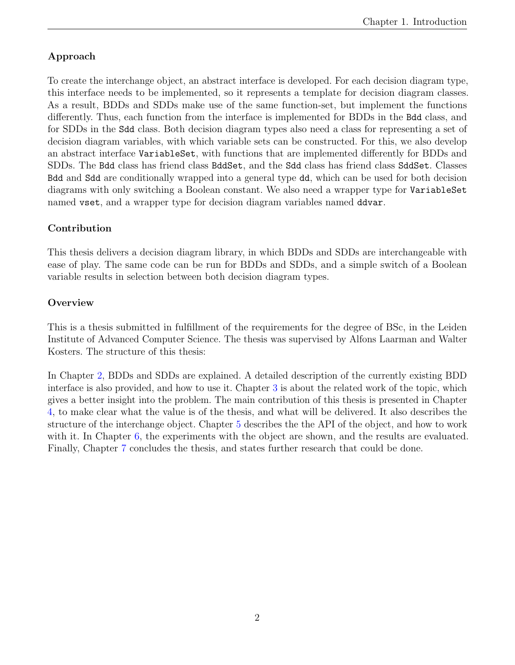### Approach

To create the interchange object, an abstract interface is developed. For each decision diagram type, this interface needs to be implemented, so it represents a template for decision diagram classes. As a result, BDDs and SDDs make use of the same function-set, but implement the functions differently. Thus, each function from the interface is implemented for BDDs in the Bdd class, and for SDDs in the Sdd class. Both decision diagram types also need a class for representing a set of decision diagram variables, with which variable sets can be constructed. For this, we also develop an abstract interface VariableSet, with functions that are implemented differently for BDDs and SDDs. The Bdd class has friend class BddSet, and the Sdd class has friend class SddSet. Classes Bdd and Sdd are conditionally wrapped into a general type dd, which can be used for both decision diagrams with only switching a Boolean constant. We also need a wrapper type for VariableSet named vset, and a wrapper type for decision diagram variables named ddvar.

### Contribution

This thesis delivers a decision diagram library, in which BDDs and SDDs are interchangeable with ease of play. The same code can be run for BDDs and SDDs, and a simple switch of a Boolean variable results in selection between both decision diagram types.

#### **Overview**

This is a thesis submitted in fulfillment of the requirements for the degree of BSc, in the Leiden Institute of Advanced Computer Science. The thesis was supervised by Alfons Laarman and Walter Kosters. The structure of this thesis:

In Chapter [2,](#page-5-0) BDDs and SDDs are explained. A detailed description of the currently existing BDD interface is also provided, and how to use it. Chapter [3](#page-11-0) is about the related work of the topic, which gives a better insight into the problem. The main contribution of this thesis is presented in Chapter [4,](#page-12-0) to make clear what the value is of the thesis, and what will be delivered. It also describes the structure of the interchange object. Chapter [5](#page-15-0) describes the the API of the object, and how to work with it. In Chapter [6,](#page-16-0) the experiments with the object are shown, and the results are evaluated. Finally, Chapter [7](#page-18-0) concludes the thesis, and states further research that could be done.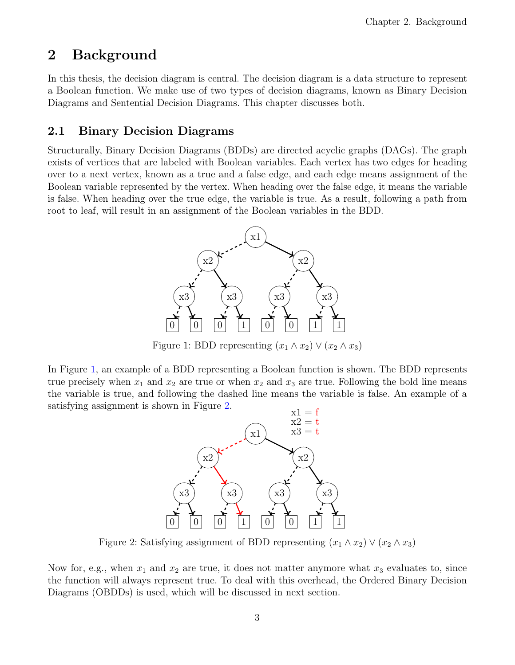# <span id="page-5-0"></span>2 Background

In this thesis, the decision diagram is central. The decision diagram is a data structure to represent a Boolean function. We make use of two types of decision diagrams, known as Binary Decision Diagrams and Sentential Decision Diagrams. This chapter discusses both.

## <span id="page-5-1"></span>2.1 Binary Decision Diagrams

<span id="page-5-2"></span>Structurally, Binary Decision Diagrams (BDDs) are directed acyclic graphs (DAGs). The graph exists of vertices that are labeled with Boolean variables. Each vertex has two edges for heading over to a next vertex, known as a true and a false edge, and each edge means assignment of the Boolean variable represented by the vertex. When heading over the false edge, it means the variable is false. When heading over the true edge, the variable is true. As a result, following a path from root to leaf, will result in an assignment of the Boolean variables in the BDD.



Figure 1: BDD representing  $(x_1 \wedge x_2) \vee (x_2 \wedge x_3)$ 

<span id="page-5-3"></span>In Figure [1,](#page-5-2) an example of a BDD representing a Boolean function is shown. The BDD represents true precisely when  $x_1$  and  $x_2$  are true or when  $x_2$  and  $x_3$  are true. Following the bold line means the variable is true, and following the dashed line means the variable is false. An example of a satisfying assignment is shown in Figure [2.](#page-5-3)



Figure 2: Satisfying assignment of BDD representing  $(x_1 \wedge x_2) \vee (x_2 \wedge x_3)$ 

Now for, e.g., when  $x_1$  and  $x_2$  are true, it does not matter anymore what  $x_3$  evaluates to, since the function will always represent true. To deal with this overhead, the Ordered Binary Decision Diagrams (OBDDs) is used, which will be discussed in next section.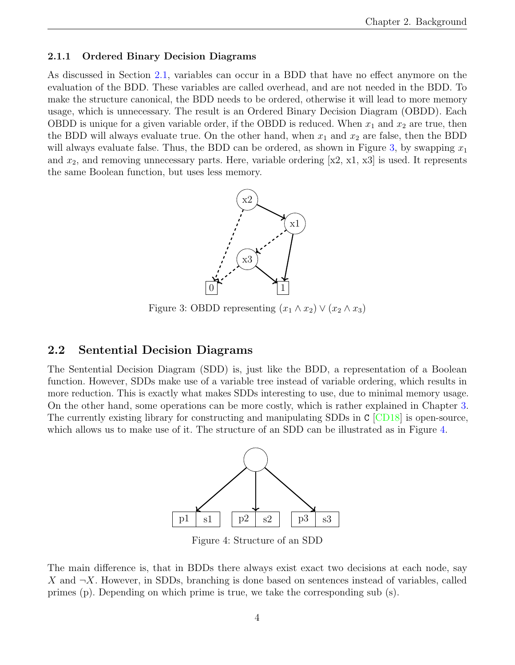#### <span id="page-6-0"></span>2.1.1 Ordered Binary Decision Diagrams

<span id="page-6-2"></span>As discussed in Section [2.1,](#page-5-1) variables can occur in a BDD that have no effect anymore on the evaluation of the BDD. These variables are called overhead, and are not needed in the BDD. To make the structure canonical, the BDD needs to be ordered, otherwise it will lead to more memory usage, which is unnecessary. The result is an Ordered Binary Decision Diagram (OBDD). Each OBDD is unique for a given variable order, if the OBDD is reduced. When  $x_1$  and  $x_2$  are true, then the BDD will always evaluate true. On the other hand, when  $x_1$  and  $x_2$  are false, then the BDD will always evaluate false. Thus, the BDD can be ordered, as shown in Figure [3,](#page-6-2) by swapping  $x_1$ and  $x_2$ , and removing unnecessary parts. Here, variable ordering  $x_2$ , x1, x3 is used. It represents the same Boolean function, but uses less memory.



Figure 3: OBDD representing  $(x_1 \wedge x_2) \vee (x_2 \wedge x_3)$ 

#### <span id="page-6-1"></span>2.2 Sentential Decision Diagrams

<span id="page-6-3"></span>The Sentential Decision Diagram (SDD) is, just like the BDD, a representation of a Boolean function. However, SDDs make use of a variable tree instead of variable ordering, which results in more reduction. This is exactly what makes SDDs interesting to use, due to minimal memory usage. On the other hand, some operations can be more costly, which is rather explained in Chapter [3.](#page-11-0) The currently existing library for constructing and manipulating SDDs in C [\[CD18\]](#page-19-5) is open-source, which allows us to make use of it. The structure of an SDD can be illustrated as in Figure [4.](#page-6-3)



Figure 4: Structure of an SDD

The main difference is, that in BDDs there always exist exact two decisions at each node, say X and  $\neg X$ . However, in SDDs, branching is done based on sentences instead of variables, called primes (p). Depending on which prime is true, we take the corresponding sub (s).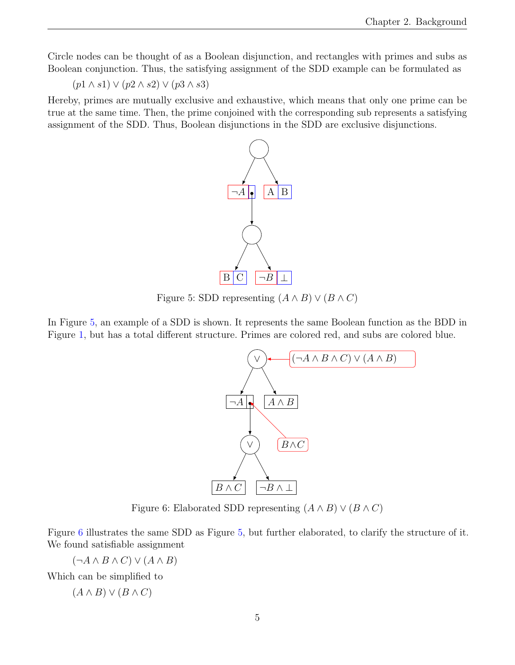Circle nodes can be thought of as a Boolean disjunction, and rectangles with primes and subs as Boolean conjunction. Thus, the satisfying assignment of the SDD example can be formulated as

 $(p1 \wedge s1) \vee (p2 \wedge s2) \vee (p3 \wedge s3)$ 

<span id="page-7-0"></span>Hereby, primes are mutually exclusive and exhaustive, which means that only one prime can be true at the same time. Then, the prime conjoined with the corresponding sub represents a satisfying assignment of the SDD. Thus, Boolean disjunctions in the SDD are exclusive disjunctions.



Figure 5: SDD representing  $(A \wedge B) \vee (B \wedge C)$ 

<span id="page-7-1"></span>In Figure [5,](#page-7-0) an example of a SDD is shown. It represents the same Boolean function as the BDD in Figure [1,](#page-5-2) but has a total different structure. Primes are colored red, and subs are colored blue.



Figure 6: Elaborated SDD representing  $(A \wedge B) \vee (B \wedge C)$ 

Figure [6](#page-7-1) illustrates the same SDD as Figure [5,](#page-7-0) but further elaborated, to clarify the structure of it. We found satisfiable assignment

 $(\neg A \land B \land C) \lor (A \land B)$ 

Which can be simplified to

$$
(A \wedge B) \vee (B \wedge C)
$$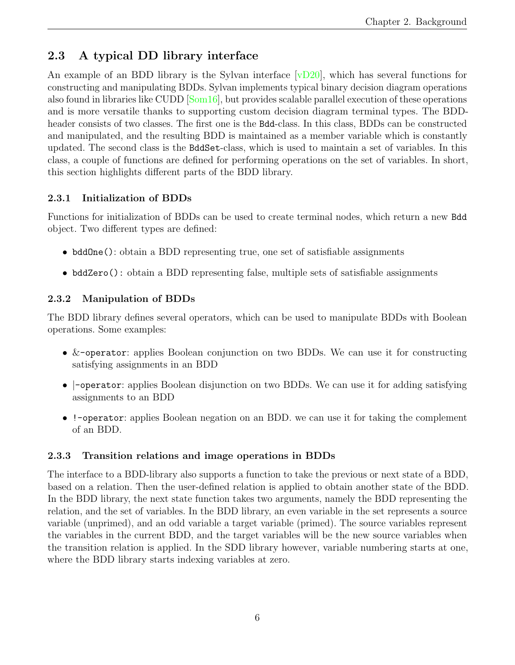## <span id="page-8-0"></span>2.3 A typical DD library interface

An example of an BDD library is the Sylvan interface [\[vD20\]](#page-19-4), which has several functions for constructing and manipulating BDDs. Sylvan implements typical binary decision diagram operations also found in libraries like CUDD [\[Som16\]](#page-19-6), but provides scalable parallel execution of these operations and is more versatile thanks to supporting custom decision diagram terminal types. The BDDheader consists of two classes. The first one is the Bdd-class. In this class, BDDs can be constructed and manipulated, and the resulting BDD is maintained as a member variable which is constantly updated. The second class is the BddSet-class, which is used to maintain a set of variables. In this class, a couple of functions are defined for performing operations on the set of variables. In short, this section highlights different parts of the BDD library.

### <span id="page-8-1"></span>2.3.1 Initialization of BDDs

Functions for initialization of BDDs can be used to create terminal nodes, which return a new Bdd object. Two different types are defined:

- bddOne(): obtain a BDD representing true, one set of satisfiable assignments
- bddZero(): obtain a BDD representing false, multiple sets of satisfiable assignments

## <span id="page-8-2"></span>2.3.2 Manipulation of BDDs

The BDD library defines several operators, which can be used to manipulate BDDs with Boolean operations. Some examples:

- &-operator: applies Boolean conjunction on two BDDs. We can use it for constructing satisfying assignments in an BDD
- $\lnot$  -operator: applies Boolean disjunction on two BDDs. We can use it for adding satisfying assignments to an BDD
- !-operator: applies Boolean negation on an BDD. we can use it for taking the complement of an BDD.

## <span id="page-8-3"></span>2.3.3 Transition relations and image operations in BDDs

The interface to a BDD-library also supports a function to take the previous or next state of a BDD, based on a relation. Then the user-defined relation is applied to obtain another state of the BDD. In the BDD library, the next state function takes two arguments, namely the BDD representing the relation, and the set of variables. In the BDD library, an even variable in the set represents a source variable (unprimed), and an odd variable a target variable (primed). The source variables represent the variables in the current BDD, and the target variables will be the new source variables when the transition relation is applied. In the SDD library however, variable numbering starts at one, where the BDD library starts indexing variables at zero.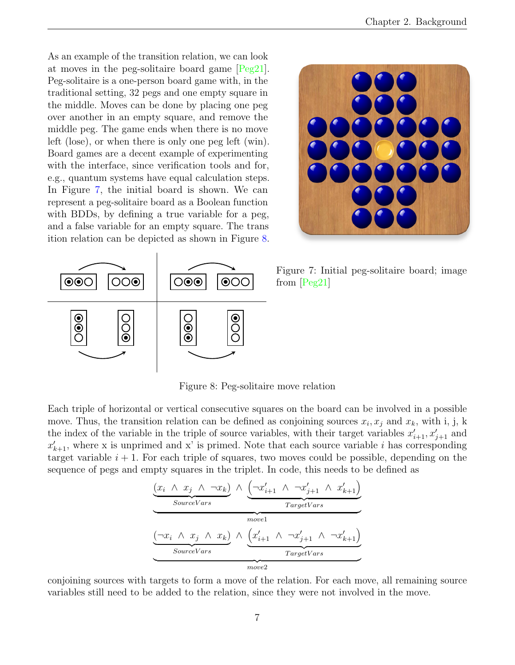As an example of the transition relation, we can look at moves in the peg-solitaire board game [\[Peg21\]](#page-19-7). Peg-solitaire is a one-person board game with, in the traditional setting, 32 pegs and one empty square in the middle. Moves can be done by placing one peg over another in an empty square, and remove the middle peg. The game ends when there is no move left (lose), or when there is only one peg left (win). Board games are a decent example of experimenting with the interface, since verification tools and for, e.g., quantum systems have equal calculation steps. In Figure [7,](#page-9-0) the initial board is shown. We can represent a peg-solitaire board as a Boolean function with BDDs, by defining a true variable for a peg, and a false variable for an empty square. The trans ition relation can be depicted as shown in Figure [8.](#page-9-1)

<span id="page-9-0"></span>

<span id="page-9-1"></span>

Figure 7: Initial peg-solitaire board; image from [\[Peg21\]](#page-19-7)

Figure 8: Peg-solitaire move relation

Each triple of horizontal or vertical consecutive squares on the board can be involved in a possible move. Thus, the transition relation can be defined as conjoining sources  $x_i, x_j$  and  $x_k$ , with i, j, k the index of the variable in the triple of source variables, with their target variables  $x'_{i+1}, x'_{j+1}$  and  $x'_{k+1}$ , where x is unprimed and x' is primed. Note that each source variable i has corresponding target variable  $i + 1$ . For each triple of squares, two moves could be possible, depending on the sequence of pegs and empty squares in the triplet. In code, this needs to be defined as

$$
\underbrace{\frac{(x_i \land x_j \land \neg x_k)}{\text{SourceVars}} \land \underbrace{\left(\neg x'_{i+1} \land \neg x'_{j+1} \land x'_{k+1}\right)}_{\text{Twoel}}}{\underbrace{\left(\neg x_i \land x_j \land x_k\right)}_{\text{SourceVars}} \land \underbrace{\left(x'_{i+1} \land \neg x'_{j+1} \land \neg x'_{k+1}\right)}_{\text{TargetVars}}}
$$

conjoining sources with targets to form a move of the relation. For each move, all remaining source variables still need to be added to the relation, since they were not involved in the move.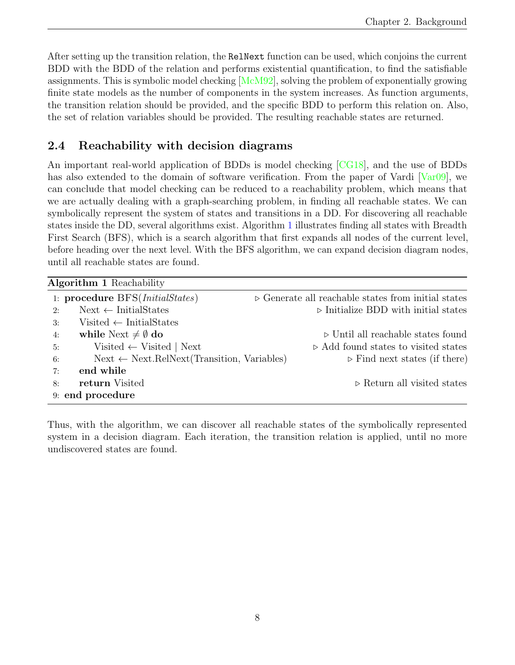After setting up the transition relation, the RelNext function can be used, which conjoins the current BDD with the BDD of the relation and performs existential quantification, to find the satisfiable assignments. This is symbolic model checking  $[McM92]$ , solving the problem of exponentially growing finite state models as the number of components in the system increases. As function arguments, the transition relation should be provided, and the specific BDD to perform this relation on. Also, the set of relation variables should be provided. The resulting reachable states are returned.

## <span id="page-10-0"></span>2.4 Reachability with decision diagrams

An important real-world application of BDDs is model checking [\[CG18\]](#page-19-1), and the use of BDDs has also extended to the domain of software verification. From the paper of Vardi  $\sqrt{Var(99)}$ , we can conclude that model checking can be reduced to a reachability problem, which means that we are actually dealing with a graph-searching problem, in finding all reachable states. We can symbolically represent the system of states and transitions in a DD. For discovering all reachable states inside the DD, several algorithms exist. Algorithm [1](#page-10-1) illustrates finding all states with Breadth First Search (BFS), which is a search algorithm that first expands all nodes of the current level, before heading over the next level. With the BFS algorithm, we can expand decision diagram nodes, until all reachable states are found.

<span id="page-10-1"></span>

| Algorithm 1 Reachability                                    |                                                                    |  |  |  |  |  |
|-------------------------------------------------------------|--------------------------------------------------------------------|--|--|--|--|--|
| 1: procedure BFS( <i>InitialStates</i> )                    | $\triangleright$ Generate all reachable states from initial states |  |  |  |  |  |
| $Next \leftarrow InitialStates$<br>2:                       | $\triangleright$ Initialize BDD with initial states                |  |  |  |  |  |
| Visited $\leftarrow$ InitialStates<br>$\mathcal{B}$ :       |                                                                    |  |  |  |  |  |
| while Next $\neq \emptyset$ do<br>4:                        | $\triangleright$ Until all reachable states found                  |  |  |  |  |  |
| Visited $\leftarrow$ Visited   Next<br>5:                   | $\triangleright$ Add found states to visited states                |  |  |  |  |  |
| $Next \leftarrow Next.RelNext(Transition, Variables)$<br>6: | $\triangleright$ Find next states (if there)                       |  |  |  |  |  |
| end while<br>7:                                             |                                                                    |  |  |  |  |  |
| return Visited<br>8:                                        | $\triangleright$ Return all visited states                         |  |  |  |  |  |
| 9: end procedure                                            |                                                                    |  |  |  |  |  |

Thus, with the algorithm, we can discover all reachable states of the symbolically represented system in a decision diagram. Each iteration, the transition relation is applied, until no more undiscovered states are found.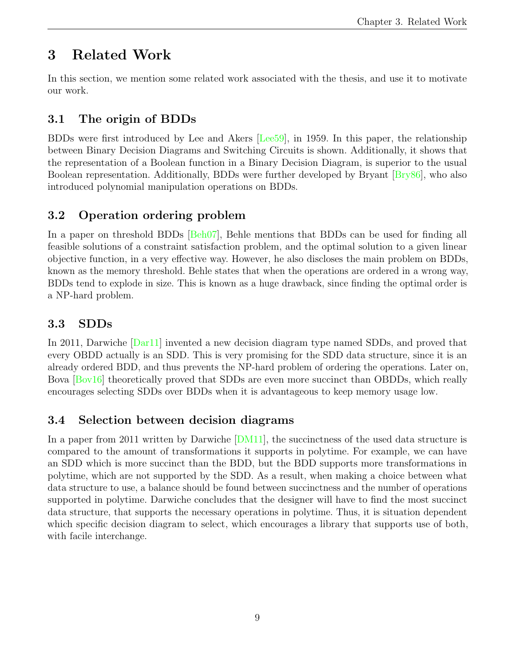# <span id="page-11-0"></span>3 Related Work

In this section, we mention some related work associated with the thesis, and use it to motivate our work.

## <span id="page-11-1"></span>3.1 The origin of BDDs

BDDs were first introduced by Lee and Akers [\[Lee59\]](#page-19-10), in 1959. In this paper, the relationship between Binary Decision Diagrams and Switching Circuits is shown. Additionally, it shows that the representation of a Boolean function in a Binary Decision Diagram, is superior to the usual Boolean representation. Additionally, BDDs were further developed by Bryant [\[Bry86\]](#page-19-11), who also introduced polynomial manipulation operations on BDDs.

## <span id="page-11-2"></span>3.2 Operation ordering problem

In a paper on threshold BDDs [\[Beh07\]](#page-19-12), Behle mentions that BDDs can be used for finding all feasible solutions of a constraint satisfaction problem, and the optimal solution to a given linear objective function, in a very effective way. However, he also discloses the main problem on BDDs, known as the memory threshold. Behle states that when the operations are ordered in a wrong way, BDDs tend to explode in size. This is known as a huge drawback, since finding the optimal order is a NP-hard problem.

## <span id="page-11-3"></span>3.3 SDDs

In 2011, Darwiche [\[Dar11\]](#page-19-13) invented a new decision diagram type named SDDs, and proved that every OBDD actually is an SDD. This is very promising for the SDD data structure, since it is an already ordered BDD, and thus prevents the NP-hard problem of ordering the operations. Later on, Bova [\[Bov16\]](#page-19-2) theoretically proved that SDDs are even more succinct than OBDDs, which really encourages selecting SDDs over BDDs when it is advantageous to keep memory usage low.

## <span id="page-11-4"></span>3.4 Selection between decision diagrams

In a paper from 2011 written by Darwiche [\[DM11\]](#page-19-3), the succinctness of the used data structure is compared to the amount of transformations it supports in polytime. For example, we can have an SDD which is more succinct than the BDD, but the BDD supports more transformations in polytime, which are not supported by the SDD. As a result, when making a choice between what data structure to use, a balance should be found between succinctness and the number of operations supported in polytime. Darwiche concludes that the designer will have to find the most succinct data structure, that supports the necessary operations in polytime. Thus, it is situation dependent which specific decision diagram to select, which encourages a library that supports use of both, with facile interchange.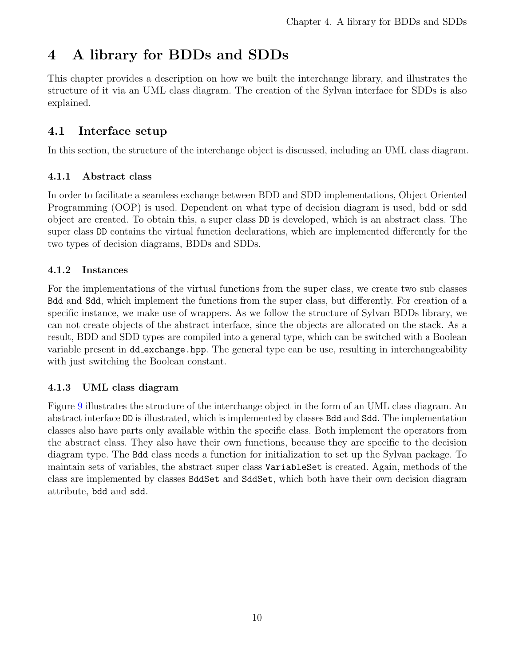# <span id="page-12-0"></span>4 A library for BDDs and SDDs

This chapter provides a description on how we built the interchange library, and illustrates the structure of it via an UML class diagram. The creation of the Sylvan interface for SDDs is also explained.

## <span id="page-12-1"></span>4.1 Interface setup

In this section, the structure of the interchange object is discussed, including an UML class diagram.

#### <span id="page-12-2"></span>4.1.1 Abstract class

In order to facilitate a seamless exchange between BDD and SDD implementations, Object Oriented Programming (OOP) is used. Dependent on what type of decision diagram is used, bdd or sdd object are created. To obtain this, a super class DD is developed, which is an abstract class. The super class DD contains the virtual function declarations, which are implemented differently for the two types of decision diagrams, BDDs and SDDs.

### <span id="page-12-3"></span>4.1.2 Instances

For the implementations of the virtual functions from the super class, we create two sub classes Bdd and Sdd, which implement the functions from the super class, but differently. For creation of a specific instance, we make use of wrappers. As we follow the structure of Sylvan BDDs library, we can not create objects of the abstract interface, since the objects are allocated on the stack. As a result, BDD and SDD types are compiled into a general type, which can be switched with a Boolean variable present in dd\_exchange.hpp. The general type can be use, resulting in interchangeability with just switching the Boolean constant.

### <span id="page-12-4"></span>4.1.3 UML class diagram

Figure [9](#page-13-0) illustrates the structure of the interchange object in the form of an UML class diagram. An abstract interface DD is illustrated, which is implemented by classes Bdd and Sdd. The implementation classes also have parts only available within the specific class. Both implement the operators from the abstract class. They also have their own functions, because they are specific to the decision diagram type. The Bdd class needs a function for initialization to set up the Sylvan package. To maintain sets of variables, the abstract super class VariableSet is created. Again, methods of the class are implemented by classes BddSet and SddSet, which both have their own decision diagram attribute, bdd and sdd.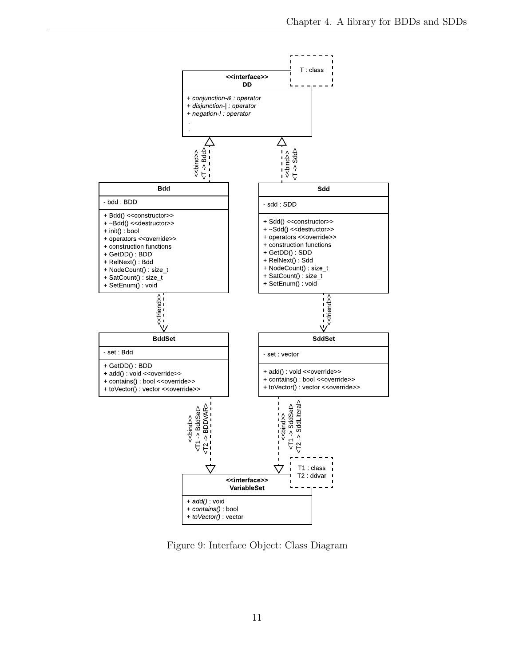<span id="page-13-0"></span>

Figure 9: Interface Object: Class Diagram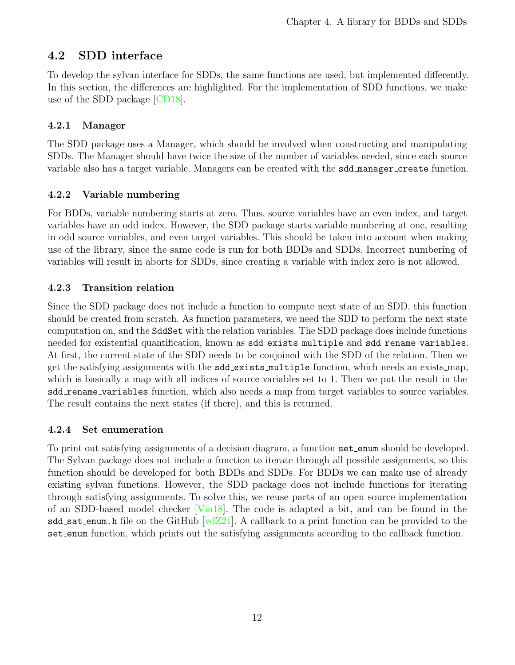## <span id="page-14-0"></span>4.2 SDD interface

To develop the sylvan interface for SDDs, the same functions are used, but implemented differently. In this section, the differences are highlighted. For the implementation of SDD functions, we make use of the SDD package [\[CD18\]](#page-19-5).

#### <span id="page-14-1"></span>4.2.1 Manager

The SDD package uses a Manager, which should be involved when constructing and manipulating SDDs. The Manager should have twice the size of the number of variables needed, since each source variable also has a target variable. Managers can be created with the sdd manager create function.

### <span id="page-14-2"></span>4.2.2 Variable numbering

For BDDs, variable numbering starts at zero. Thus, source variables have an even index, and target variables have an odd index. However, the SDD package starts variable numbering at one, resulting in odd source variables, and even target variables. This should be taken into account when making use of the library, since the same code is run for both BDDs and SDDs. Incorrect numbering of variables will result in aborts for SDDs, since creating a variable with index zero is not allowed.

### <span id="page-14-3"></span>4.2.3 Transition relation

Since the SDD package does not include a function to compute next state of an SDD, this function should be created from scratch. As function parameters, we need the SDD to perform the next state computation on, and the SddSet with the relation variables. The SDD package does include functions needed for existential quantification, known as sdd\_exists\_multiple and sdd\_rename\_variables. At first, the current state of the SDD needs to be conjoined with the SDD of the relation. Then we get the satisfying assignments with the **sdd\_exists\_multiple** function, which needs an exists\_map, which is basically a map with all indices of source variables set to 1. Then we put the result in the sdd rename variables function, which also needs a map from target variables to source variables. The result contains the next states (if there), and this is returned.

#### <span id="page-14-4"></span>4.2.4 Set enumeration

To print out satisfying assignments of a decision diagram, a function set enum should be developed. The Sylvan package does not include a function to iterate through all possible assignments, so this function should be developed for both BDDs and SDDs. For BDDs we can make use of already existing sylvan functions. However, the SDD package does not include functions for iterating through satisfying assignments. To solve this, we reuse parts of an open source implementation of an SDD-based model checker [\[Vin18\]](#page-19-14). The code is adapted a bit, and can be found in the sdd sat enum.h file on the GitHub  $\lceil \frac{vdZ21} \rceil$ . A callback to a print function can be provided to the set enum function, which prints out the satisfying assignments according to the callback function.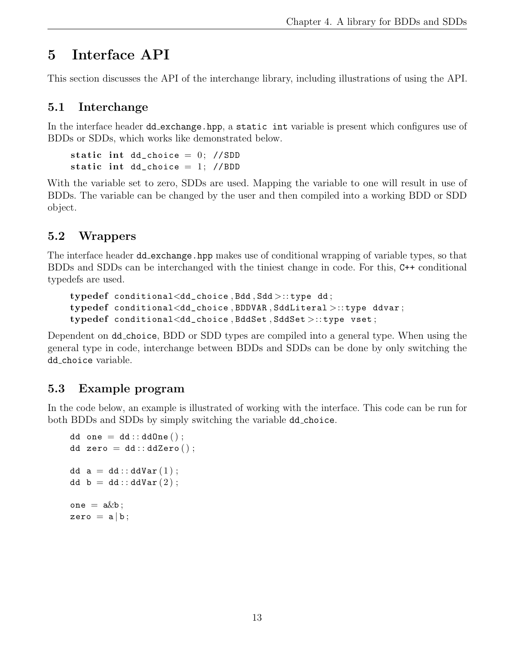# <span id="page-15-0"></span>5 Interface API

This section discusses the API of the interchange library, including illustrations of using the API.

## <span id="page-15-1"></span>5.1 Interchange

In the interface header dd exchange.hpp, a static int variable is present which configures use of BDDs or SDDs, which works like demonstrated below.

```
static int dd_choice = 0; //SDD
static int dd_choice = 1; //BDD
```
With the variable set to zero, SDDs are used. Mapping the variable to one will result in use of BDDs. The variable can be changed by the user and then compiled into a working BDD or SDD object.

## <span id="page-15-2"></span>5.2 Wrappers

The interface header dd exchange.hpp makes use of conditional wrapping of variable types, so that BDDs and SDDs can be interchanged with the tiniest change in code. For this, C++ conditional typedefs are used.

```
typedef conditional<dd_choice , Bdd , Sdd >:: type dd ;
typedef conditional<dd_choice, BDDVAR, SddLiteral >:: type ddvar;
typedef conditional<dd_choice , BddSet , SddSet >:: type vset ;
```
Dependent on dd choice, BDD or SDD types are compiled into a general type. When using the general type in code, interchange between BDDs and SDDs can be done by only switching the dd choice variable.

## <span id="page-15-3"></span>5.3 Example program

In the code below, an example is illustrated of working with the interface. This code can be run for both BDDs and SDDs by simply switching the variable dd\_choice.

```
dd one = dd : : dd0ne ();
dd zero = dd:: ddZero();
dd a = dd:: ddVar(1);
dd b = dd:: ddVar(2);
one = akb:
zero = a | b;
```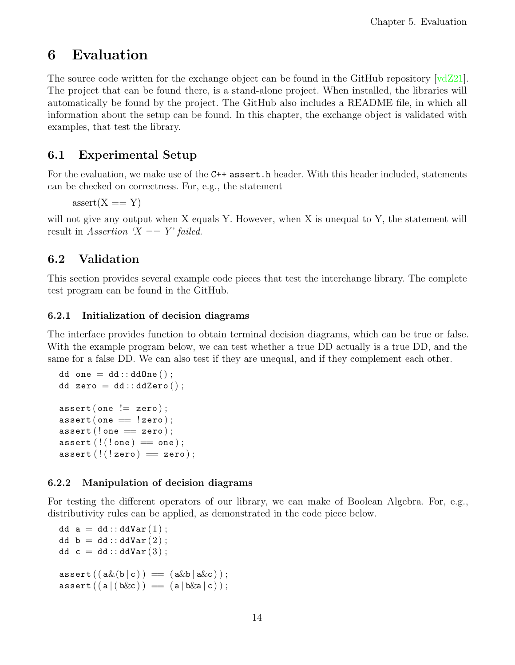## <span id="page-16-0"></span>6 Evaluation

The source code written for the exchange object can be found in the GitHub repository  $[\text{vdZ21}]$ . The project that can be found there, is a stand-alone project. When installed, the libraries will automatically be found by the project. The GitHub also includes a README file, in which all information about the setup can be found. In this chapter, the exchange object is validated with examples, that test the library.

## <span id="page-16-1"></span>6.1 Experimental Setup

For the evaluation, we make use of the C++ assert. h header. With this header included, statements can be checked on correctness. For, e.g., the statement

 $assert(X == Y)$ 

will not give any output when X equals Y. However, when X is unequal to Y, the statement will result in Assertion ' $X = Y'$  failed.

### <span id="page-16-2"></span>6.2 Validation

This section provides several example code pieces that test the interchange library. The complete test program can be found in the GitHub.

#### <span id="page-16-3"></span>6.2.1 Initialization of decision diagrams

The interface provides function to obtain terminal decision diagrams, which can be true or false. With the example program below, we can test whether a true DD actually is a true DD, and the same for a false DD. We can also test if they are unequal, and if they complement each other.

```
dd one = dd : : ddOne();
dd zero = dd::ddZero();
assert (one != zero);assert(one == !zero);\texttt{assert} (! one = zero);
assert ( ! ( ! one ) = one ) ;
assert (!(!zero) == zero);
```
#### <span id="page-16-4"></span>6.2.2 Manipulation of decision diagrams

For testing the different operators of our library, we can make of Boolean Algebra. For, e.g., distributivity rules can be applied, as demonstrated in the code piece below.

```
dd a = dd:: ddVar(1):
dd b = dd:: ddVar(2);
dd c = dd:: ddVar(3);
\texttt{assert}((\texttt{a}\&(\texttt{b}\mid \texttt{c})) = (\texttt{a}\&\texttt{b}\mid \texttt{a}\&\texttt{c});
\texttt{assert}((a \mid (b \& c)) = (a \mid b \& a \mid c));
```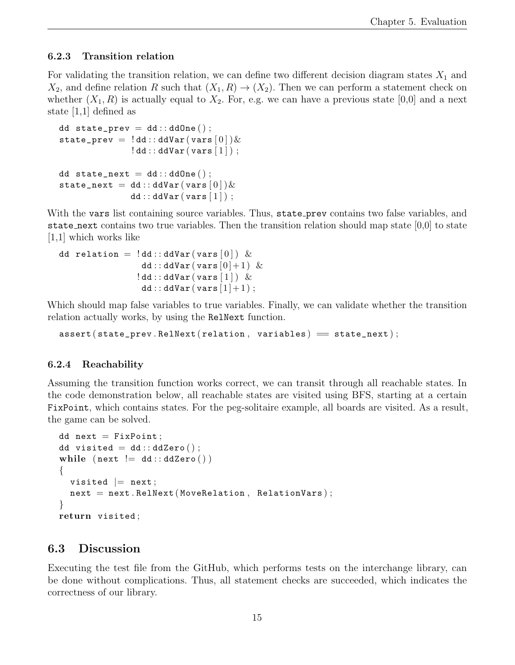#### <span id="page-17-0"></span>6.2.3 Transition relation

For validating the transition relation, we can define two different decision diagram states  $X_1$  and  $X_2$ , and define relation R such that  $(X_1, R) \to (X_2)$ . Then we can perform a statement check on whether  $(X_1, R)$  is actually equal to  $X_2$ . For, e.g. we can have a previous state [0,0] and a next state [1,1] defined as

```
dd state_prev = dd::ddOne();
\texttt{state\_prev} = \texttt{!dd}::\texttt{ddVar}(\texttt{vars}\left[0\right])\&!dd::ddVar(vars [1]);
dd state_next = dd::ddOne();
state_next = dd:: ddVar(vars[0])&dd::ddVar(vars | 1 |);
```
With the vars list containing source variables. Thus, state prev contains two false variables, and state next contains two true variables. Then the transition relation should map state  $[0,0]$  to state [1,1] which works like

```
dd relation = !dd::ddVar(vars [0]) &
               dd::ddVar(vars[0]+1) &
              !dd::ddVar(vars [1]) &dd::ddVar(vars[1]+1);
```
Which should map false variables to true variables. Finally, we can validate whether the transition relation actually works, by using the RelNext function.

 $\texttt{assert}(\texttt{state\_prev}.\texttt{RelNext}(\texttt{relation}, \texttt{variables}) == \texttt{state\_next});$ 

#### <span id="page-17-1"></span>6.2.4 Reachability

Assuming the transition function works correct, we can transit through all reachable states. In the code demonstration below, all reachable states are visited using BFS, starting at a certain FixPoint, which contains states. For the peg-solitaire example, all boards are visited. As a result, the game can be solved.

```
dd next = FixPoint;
dd visited = dd::ddZero();
while (next := dd::ddZero()){
  visited |= next;
  next = next.RelNext (MoveRelation, RelationVars);}
return visited ;
```
#### <span id="page-17-2"></span>6.3 Discussion

Executing the test file from the GitHub, which performs tests on the interchange library, can be done without complications. Thus, all statement checks are succeeded, which indicates the correctness of our library.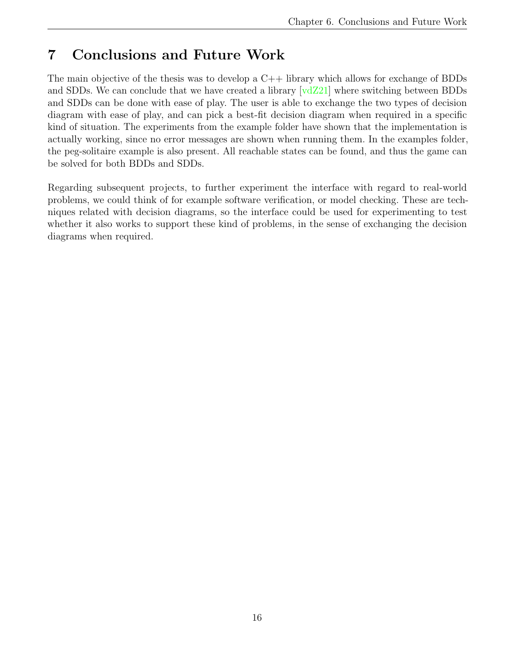# <span id="page-18-0"></span>7 Conclusions and Future Work

The main objective of the thesis was to develop a C++ library which allows for exchange of BDDs and SDDs. We can conclude that we have created a library [\[vdZ21\]](#page-19-15) where switching between BDDs and SDDs can be done with ease of play. The user is able to exchange the two types of decision diagram with ease of play, and can pick a best-fit decision diagram when required in a specific kind of situation. The experiments from the example folder have shown that the implementation is actually working, since no error messages are shown when running them. In the examples folder, the peg-solitaire example is also present. All reachable states can be found, and thus the game can be solved for both BDDs and SDDs.

Regarding subsequent projects, to further experiment the interface with regard to real-world problems, we could think of for example software verification, or model checking. These are techniques related with decision diagrams, so the interface could be used for experimenting to test whether it also works to support these kind of problems, in the sense of exchanging the decision diagrams when required.